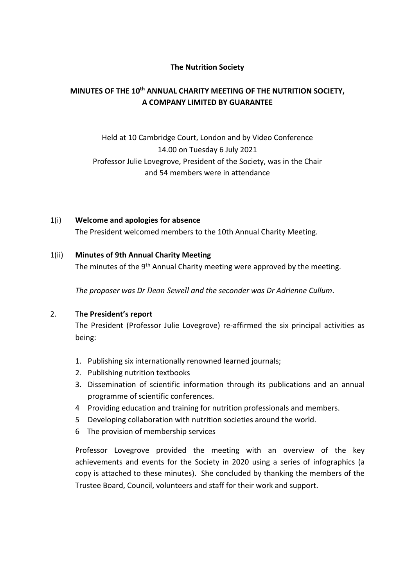### **The Nutrition Society**

# **MINUTES OF THE 10th ANNUAL CHARITY MEETING OF THE NUTRITION SOCIETY, A COMPANY LIMITED BY GUARANTEE**

# Held at 10 Cambridge Court, London and by Video Conference 14.00 on Tuesday 6 July 2021 Professor Julie Lovegrove, President of the Society, was in the Chair and 54 members were in attendance

1(i) **Welcome and apologies for absence** The President welcomed members to the 10th Annual Charity Meeting.

#### 1(ii) **Minutes of 9th Annual Charity Meeting**

The minutes of the 9<sup>th</sup> Annual Charity meeting were approved by the meeting.

*The proposer was Dr Dean Sewell and the seconder was Dr Adrienne Cullum*.

#### 2. T**he President's report**

The President (Professor Julie Lovegrove) re-affirmed the six principal activities as being:

- 1. Publishing six internationally renowned learned journals;
- 2. Publishing nutrition textbooks
- 3. Dissemination of scientific information through its publications and an annual programme of scientific conferences.
- 4 Providing education and training for nutrition professionals and members.
- 5 Developing collaboration with nutrition societies around the world.
- 6 The provision of membership services

Professor Lovegrove provided the meeting with an overview of the key achievements and events for the Society in 2020 using a series of infographics (a copy is attached to these minutes). She concluded by thanking the members of the Trustee Board, Council, volunteers and staff for their work and support.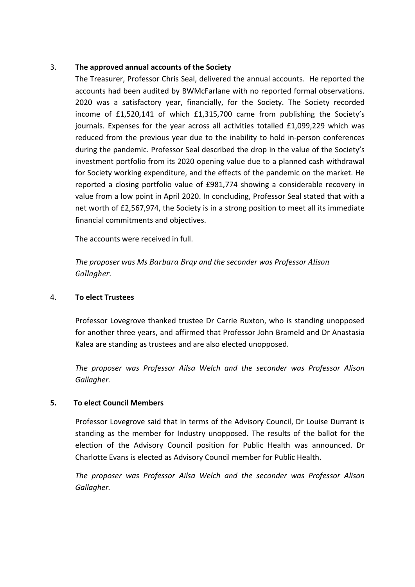#### 3. **The approved annual accounts of the Society**

The Treasurer, Professor Chris Seal, delivered the annual accounts. He reported the accounts had been audited by BWMcFarlane with no reported formal observations. 2020 was a satisfactory year, financially, for the Society. The Society recorded income of £1,520,141 of which £1,315,700 came from publishing the Society's journals. Expenses for the year across all activities totalled £1,099,229 which was reduced from the previous year due to the inability to hold in-person conferences during the pandemic. Professor Seal described the drop in the value of the Society's investment portfolio from its 2020 opening value due to a planned cash withdrawal for Society working expenditure, and the effects of the pandemic on the market. He reported a closing portfolio value of £981,774 showing a considerable recovery in value from a low point in April 2020. In concluding, Professor Seal stated that with a net worth of £2,567,974, the Society is in a strong position to meet all its immediate financial commitments and objectives.

The accounts were received in full.

*The proposer was Ms Barbara Bray and the seconder was Professor Alison Gallagher.*

#### 4. **To elect Trustees**

Professor Lovegrove thanked trustee Dr Carrie Ruxton, who is standing unopposed for another three years, and affirmed that Professor John Brameld and Dr Anastasia Kalea are standing as trustees and are also elected unopposed.

*The proposer was Professor Ailsa Welch and the seconder was Professor Alison Gallagher.*

### **5. To elect Council Members**

Professor Lovegrove said that in terms of the Advisory Council, Dr Louise Durrant is standing as the member for Industry unopposed. The results of the ballot for the election of the Advisory Council position for Public Health was announced. Dr Charlotte Evans is elected as Advisory Council member for Public Health.

*The proposer was Professor Ailsa Welch and the seconder was Professor Alison Gallagher.*